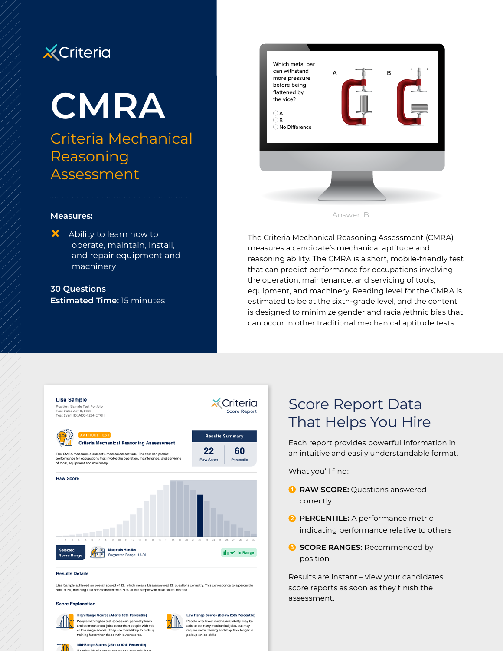# **X** Criteria

# **CMRA**

Criteria Mechanical Reasoning Assessment



#### **Measures:**

 $\mathsf{\times}$  Ability to learn how to operate, maintain, install, and repair equipment and machinery

**30 Questions Estimated Time:** 15 minutes



The Criteria Mechanical Reasoning Assessment (CMRA) measures a candidate's mechanical aptitude and reasoning ability. The CMRA is a short, mobile-friendly test that can predict performance for occupations involving the operation, maintenance, and servicing of tools, equipment, and machinery. Reading level for the CMRA is estimated to be at the sixth-grade level, and the content is designed to minimize gender and racial/ethnic bias that can occur in other traditional mechanical aptitude tests.



Lisa Sample achieved an overall scored of 22, which means Lisa answered 22 questions correctly. This corresponds to a percentile rank of 60, meaning Lisa scored better than 60% of the people who have taken this test

#### **Score Explanation**



People with higher test scores can generally learn and do mechanical jobs better than people with mid or low range scores. They are more likely to pick up<br>training faster than those with lower scores.

Mid-Range Scores (25th to 80th Percentile)

High Range Scores (Above 80th Percentile)

Low Range Scores (Below 25th Percentile) People with lower mechanical ability may be<br>able to do many mechanical jobs, but may require more training and may take longer to<br>pick up on job skills.

# Score Report Data That Helps You Hire

Each report provides powerful information in an intuitive and easily understandable format.

What you'll find:

- **1 RAW SCORE:** Questions answered correctly
- **2 PERCENTILE:** A performance metric indicating performance relative to others
- **8** SCORE RANGES: Recommended by position

Results are instant – view your candidates' score reports as soon as they finish the assessment.